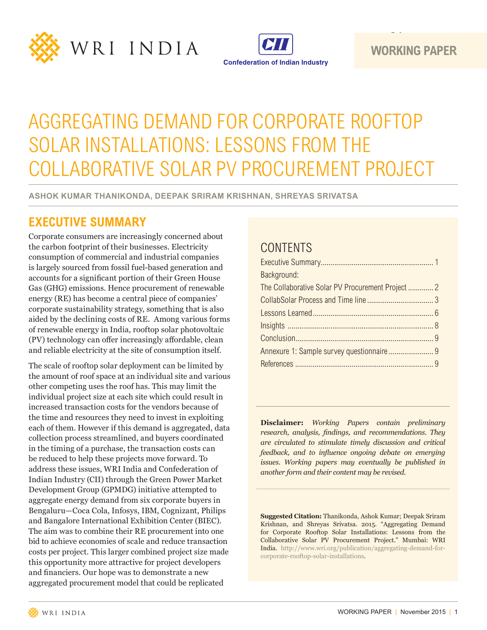



# AGGREGATING DEMAND FOR CORPORATE ROOFTOP SOLAR INSTALLATIONS: LESSONS FROM THE COLLABORATIVE SOLAR PV PROCUREMENT PROJECT

**ASHOK KUMAR THANIKONDA, DEEPAK SRIRAM KRISHNAN, SHREYAS SRIVATSA**

# **EXECUTIVE SUMMARY**

Corporate consumers are increasingly concerned about the carbon footprint of their businesses. Electricity consumption of commercial and industrial companies is largely sourced from fossil fuel-based generation and accounts for a significant portion of their Green House Gas (GHG) emissions. Hence procurement of renewable energy (RE) has become a central piece of companies' corporate sustainability strategy, something that is also aided by the declining costs of RE. Among various forms of renewable energy in India, rooftop solar photovoltaic (PV) technology can offer increasingly affordable, clean and reliable electricity at the site of consumption itself.

The scale of rooftop solar deployment can be limited by the amount of roof space at an individual site and various other competing uses the roof has. This may limit the individual project size at each site which could result in increased transaction costs for the vendors because of the time and resources they need to invest in exploiting each of them. However if this demand is aggregated, data collection process streamlined, and buyers coordinated in the timing of a purchase, the transaction costs can be reduced to help these projects move forward. To address these issues, WRI India and Confederation of Indian Industry (CII) through the Green Power Market Development Group (GPMDG) initiative attempted to aggregate energy demand from six corporate buyers in Bengaluru—Coca Cola, Infosys, IBM, Cognizant, Philips and Bangalore International Exhibition Center (BIEC). The aim was to combine their RE procurement into one bid to achieve economies of scale and reduce transaction costs per project. This larger combined project size made this opportunity more attractive for project developers and financiers. Our hope was to demonstrate a new aggregated procurement model that could be replicated

# **CONTENTS**

| Background:                                       |  |
|---------------------------------------------------|--|
| The Collaborative Solar PV Procurement Project  2 |  |
|                                                   |  |
|                                                   |  |
|                                                   |  |
|                                                   |  |
|                                                   |  |
|                                                   |  |

**Disclaimer:** *Working Papers contain preliminary research, analysis, findings, and recommendations. They are circulated to stimulate timely discussion and critical feedback, and to influence ongoing debate on emerging issues. Working papers may eventually be published in another form and their content may be revised.*

**Suggested Citation:** Thanikonda, Ashok Kumar; Deepak Sriram Krishnan, and Shreyas Srivatsa. 2015. "Aggregating Demand for Corporate Rooftop Solar Installations: Lessons from the Collaborative Solar PV Procurement Project." Mumbai: WRI India. http://www.wri.org/publication/aggregating-demand-forcorporate-rooftop-solar-installations.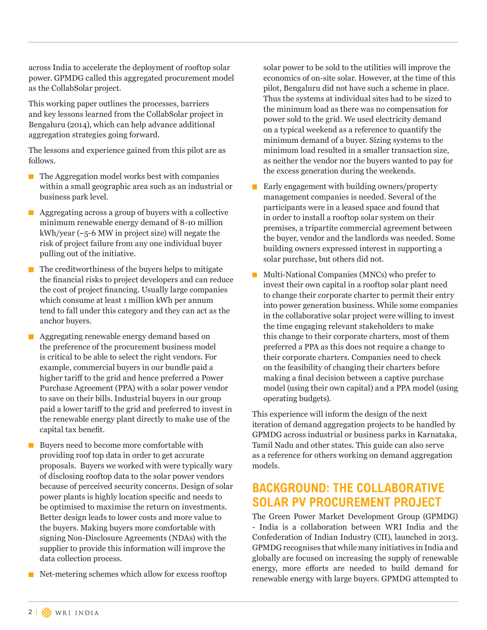across India to accelerate the deployment of rooftop solar power. GPMDG called this aggregated procurement model as the CollabSolar project.

This working paper outlines the processes, barriers and key lessons learned from the CollabSolar project in Bengaluru (2014), which can help advance additional aggregation strategies going forward.

The lessons and experience gained from this pilot are as follows.

- $\blacksquare$  The Aggregation model works best with companies within a small geographic area such as an industrial or business park level.
- **Aggregating across a group of buyers with a collective** minimum renewable energy demand of 8-10 million kWh/year (~5-6 MW in project size) will negate the risk of project failure from any one individual buyer pulling out of the initiative.
- The creditworthiness of the buyers helps to mitigate  $\blacksquare$ the financial risks to project developers and can reduce the cost of project financing. Usually large companies which consume at least 1 million kWh per annum tend to fall under this category and they can act as the anchor buyers.
- **Aggregating renewable energy demand based on** the preference of the procurement business model is critical to be able to select the right vendors. For example, commercial buyers in our bundle paid a higher tariff to the grid and hence preferred a Power Purchase Agreement (PPA) with a solar power vendor to save on their bills. Industrial buyers in our group paid a lower tariff to the grid and preferred to invest in the renewable energy plant directly to make use of the capital tax benefit.
- Buyers need to become more comfortable with  $\mathcal{L}_{\mathcal{A}}$ providing roof top data in order to get accurate proposals. Buyers we worked with were typically wary of disclosing rooftop data to the solar power vendors because of perceived security concerns. Design of solar power plants is highly location specific and needs to be optimised to maximise the return on investments. Better design leads to lower costs and more value to the buyers. Making buyers more comfortable with signing Non-Disclosure Agreements (NDAs) with the supplier to provide this information will improve the data collection process.
- $\blacksquare$  Net-metering schemes which allow for excess rooftop

solar power to be sold to the utilities will improve the economics of on-site solar. However, at the time of this pilot, Bengaluru did not have such a scheme in place. Thus the systems at individual sites had to be sized to the minimum load as there was no compensation for power sold to the grid. We used electricity demand on a typical weekend as a reference to quantify the minimum demand of a buyer. Sizing systems to the minimum load resulted in a smaller transaction size, as neither the vendor nor the buyers wanted to pay for the excess generation during the weekends.

- Early engagement with building owners/property management companies is needed. Several of the participants were in a leased space and found that in order to install a rooftop solar system on their premises, a tripartite commercial agreement between the buyer, vendor and the landlords was needed. Some building owners expressed interest in supporting a solar purchase, but others did not.
- Multi-National Companies (MNCs) who prefer to invest their own capital in a rooftop solar plant need to change their corporate charter to permit their entry into power generation business. While some companies in the collaborative solar project were willing to invest the time engaging relevant stakeholders to make this change to their corporate charters, most of them preferred a PPA as this does not require a change to their corporate charters. Companies need to check on the feasibility of changing their charters before making a final decision between a captive purchase model (using their own capital) and a PPA model (using operating budgets).

This experience will inform the design of the next iteration of demand aggregation projects to be handled by GPMDG across industrial or business parks in Karnataka, Tamil Nadu and other states. This guide can also serve as a reference for others working on demand aggregation models.

# **BACKGROUND: THE COLLABORATIVE SOLAR PV PROCUREMENT PROJECT**

The Green Power Market Development Group (GPMDG) - India is a collaboration between WRI India and the Confederation of Indian Industry (CII), launched in 2013. GPMDG recognises that while many initiatives in India and globally are focused on increasing the supply of renewable energy, more efforts are needed to build demand for renewable energy with large buyers. GPMDG attempted to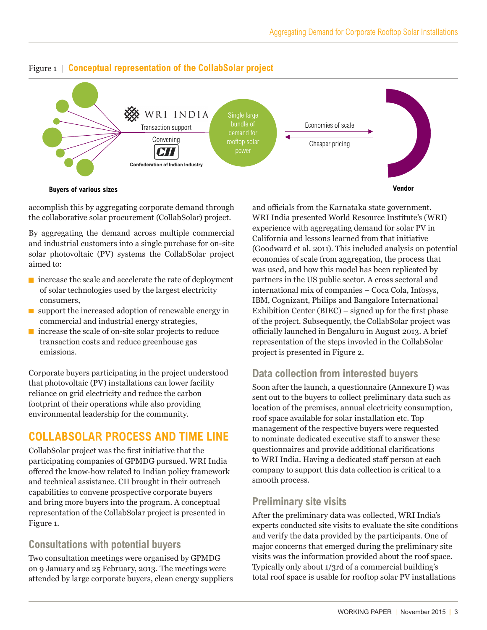

#### Figure 1 | **Conceptual representation of the CollabSolar project**

**Buyers of various sizes**

accomplish this by aggregating corporate demand through the collaborative solar procurement (CollabSolar) project.

By aggregating the demand across multiple commercial and industrial customers into a single purchase for on-site solar photovoltaic (PV) systems the CollabSolar project aimed to:

- $\blacksquare$  increase the scale and accelerate the rate of deployment of solar technologies used by the largest electricity consumers,
- support the increased adoption of renewable energy in commercial and industrial energy strategies,
- $\blacksquare$  increase the scale of on-site solar projects to reduce transaction costs and reduce greenhouse gas emissions.

Corporate buyers participating in the project understood that photovoltaic (PV) installations can lower facility reliance on grid electricity and reduce the carbon footprint of their operations while also providing environmental leadership for the community.

# **COLLABSOLAR PROCESS AND TIME LINE**

CollabSolar project was the first initiative that the participating companies of GPMDG pursued. WRI India offered the know-how related to Indian policy framework and technical assistance. CII brought in their outreach capabilities to convene prospective corporate buyers and bring more buyers into the program. A conceptual representation of the CollabSolar project is presented in Figure 1.

## **Consultations with potential buyers**

Two consultation meetings were organised by GPMDG on 9 January and 25 February, 2013. The meetings were attended by large corporate buyers, clean energy suppliers and officials from the Karnataka state government. WRI India presented World Resource Institute's (WRI) experience with aggregating demand for solar PV in California and lessons learned from that initiative (Goodward et al. 2011). This included analysis on potential economies of scale from aggregation, the process that was used, and how this model has been replicated by partners in the US public sector. A cross sectoral and international mix of companies – Coca Cola, Infosys, IBM, Cognizant, Philips and Bangalore International Exhibition Center (BIEC) – signed up for the first phase of the project. Subsequently, the CollabSolar project was officially launched in Bengaluru in August 2013. A brief representation of the steps invovled in the CollabSolar project is presented in Figure 2.

# **Data collection from interested buyers**

Soon after the launch, a questionnaire (Annexure I) was sent out to the buyers to collect preliminary data such as location of the premises, annual electricity consumption, roof space available for solar installation etc. Top management of the respective buyers were requested to nominate dedicated executive staff to answer these questionnaires and provide additional clarifications to WRI India. Having a dedicated staff person at each company to support this data collection is critical to a smooth process.

# **Preliminary site visits**

After the preliminary data was collected, WRI India's experts conducted site visits to evaluate the site conditions and verify the data provided by the participants. One of major concerns that emerged during the preliminary site visits was the information provided about the roof space. Typically only about 1/3rd of a commercial building's total roof space is usable for rooftop solar PV installations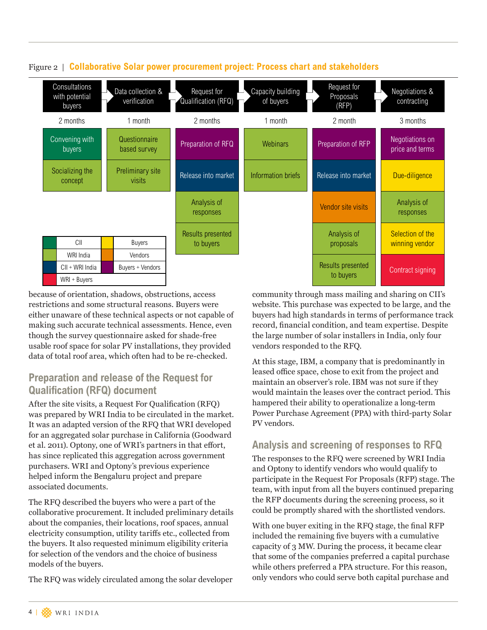

#### Figure 2 | **Collaborative Solar power procurement project: Process chart and stakeholders**

because of orientation, shadows, obstructions, access restrictions and some structural reasons. Buyers were either unaware of these technical aspects or not capable of making such accurate technical assessments. Hence, even though the survey questionnaire asked for shade-free usable roof space for solar PV installations, they provided data of total roof area, which often had to be re-checked.

## **Preparation and release of the Request for Qualification (RFQ) document**

After the site visits, a Request For Qualification (RFQ) was prepared by WRI India to be circulated in the market. It was an adapted version of the RFQ that WRI developed for an aggregated solar purchase in California (Goodward et al. 2011). Optony, one of WRI's partners in that effort, has since replicated this aggregation across government purchasers. WRI and Optony's previous experience helped inform the Bengaluru project and prepare associated documents.

The RFQ described the buyers who were a part of the collaborative procurement. It included preliminary details about the companies, their locations, roof spaces, annual electricity consumption, utility tariffs etc., collected from the buyers. It also requested minimum eligibility criteria for selection of the vendors and the choice of business models of the buyers.

The RFQ was widely circulated among the solar developer

community through mass mailing and sharing on CII's website. This purchase was expected to be large, and the buyers had high standards in terms of performance track record, financial condition, and team expertise. Despite the large number of solar installers in India, only four vendors responded to the RFQ.

At this stage, IBM, a company that is predominantly in leased office space, chose to exit from the project and maintain an observer's role. IBM was not sure if they would maintain the leases over the contract period. This hampered their ability to operationalize a long-term Power Purchase Agreement (PPA) with third-party Solar PV vendors.

## **Analysis and screening of responses to RFQ**

The responses to the RFQ were screened by WRI India and Optony to identify vendors who would qualify to participate in the Request For Proposals (RFP) stage. The team, with input from all the buyers continued preparing the RFP documents during the screening process, so it could be promptly shared with the shortlisted vendors.

With one buyer exiting in the RFQ stage, the final RFP included the remaining five buyers with a cumulative capacity of 3 MW. During the process, it became clear that some of the companies preferred a capital purchase while others preferred a PPA structure. For this reason, only vendors who could serve both capital purchase and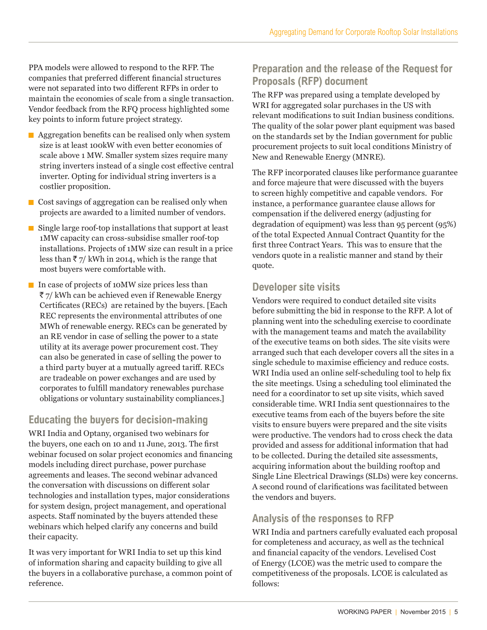PPA models were allowed to respond to the RFP. The companies that preferred different financial structures were not separated into two different RFPs in order to maintain the economies of scale from a single transaction. Vendor feedback from the RFQ process highlighted some key points to inform future project strategy.

- $\blacksquare$  Aggregation benefits can be realised only when system size is at least 100kW with even better economies of scale above 1 MW. Smaller system sizes require many string inverters instead of a single cost effective central inverter. Opting for individual string inverters is a costlier proposition.
- $\Box$  Cost savings of aggregation can be realised only when projects are awarded to a limited number of vendors.
- Single large roof-top installations that support at least 1MW capacity can cross-subsidise smaller roof-top installations. Projects of 1MW size can result in a price less than  $\bar{\tau}$  7/ kWh in 2014, which is the range that most buyers were comfortable with.
- In case of projects of 10MW size prices less than  $\overline{\xi}$  7/ kWh can be achieved even if Renewable Energy Certificates (RECs) are retained by the buyers. [Each REC represents the environmental attributes of one MWh of renewable energy. RECs can be generated by an RE vendor in case of selling the power to a state utility at its average power procurement cost. They can also be generated in case of selling the power to a third party buyer at a mutually agreed tariff. RECs are tradeable on power exchanges and are used by corporates to fulfill mandatory renewables purchase obligations or voluntary sustainability compliances.]

# **Educating the buyers for decision-making**

WRI India and Optany, organised two webinars for the buyers, one each on 10 and 11 June, 2013. The first webinar focused on solar project economics and financing models including direct purchase, power purchase agreements and leases. The second webinar advanced the conversation with discussions on different solar technologies and installation types, major considerations for system design, project management, and operational aspects. Staff nominated by the buyers attended these webinars which helped clarify any concerns and build their capacity.

It was very important for WRI India to set up this kind of information sharing and capacity building to give all the buyers in a collaborative purchase, a common point of reference.

# **Preparation and the release of the Request for Proposals (RFP) document**

The RFP was prepared using a template developed by WRI for aggregated solar purchases in the US with relevant modifications to suit Indian business conditions. The quality of the solar power plant equipment was based on the standards set by the Indian government for public procurement projects to suit local conditions Ministry of New and Renewable Energy (MNRE).

The RFP incorporated clauses like performance guarantee and force majeure that were discussed with the buyers to screen highly competitive and capable vendors. For instance, a performance guarantee clause allows for compensation if the delivered energy (adjusting for degradation of equipment) was less than 95 percent (95%) of the total Expected Annual Contract Quantity for the first three Contract Years. This was to ensure that the vendors quote in a realistic manner and stand by their quote.

## **Developer site visits**

Vendors were required to conduct detailed site visits before submitting the bid in response to the RFP. A lot of planning went into the scheduling exercise to coordinate with the management teams and match the availability of the executive teams on both sides. The site visits were arranged such that each developer covers all the sites in a single schedule to maximise efficiency and reduce costs. WRI India used an online self-scheduling tool to help fix the site meetings. Using a scheduling tool eliminated the need for a coordinator to set up site visits, which saved considerable time. WRI India sent questionnaires to the executive teams from each of the buyers before the site visits to ensure buyers were prepared and the site visits were productive. The vendors had to cross check the data provided and assess for additional information that had to be collected. During the detailed site assessments, acquiring information about the building rooftop and Single Line Electrical Drawings (SLDs) were key concerns. A second round of clarifications was facilitated between the vendors and buyers.

# **Analysis of the responses to RFP**

WRI India and partners carefully evaluated each proposal for completeness and accuracy, as well as the technical and financial capacity of the vendors. Levelised Cost of Energy (LCOE) was the metric used to compare the competitiveness of the proposals. LCOE is calculated as follows: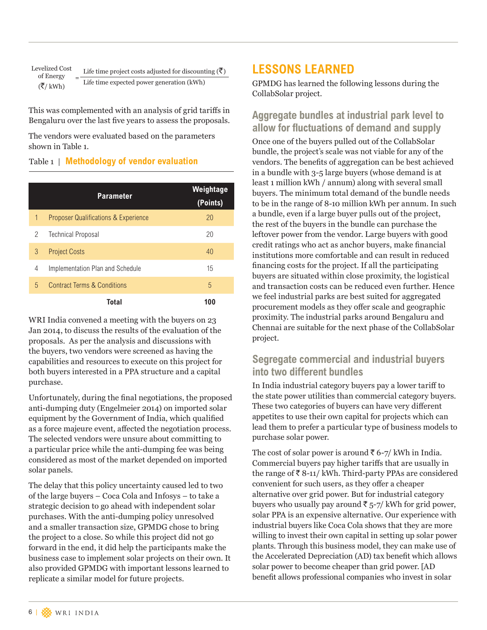| Levelized Cost<br>of Energy | Life time project costs adjusted for discounting $(\vec{\zeta})$ |
|-----------------------------|------------------------------------------------------------------|
|                             |                                                                  |
| $($ ₹/ kWh $)$              | Life time expected power generation (kWh)                        |

This was complemented with an analysis of grid tariffs in Bengaluru over the last five years to assess the proposals.

The vendors were evaluated based on the parameters shown in Table 1.

#### Table 1 | **Methodology of vendor evaluation**

|              | <b>Parameter</b>                                | Weightage<br>(Points) |
|--------------|-------------------------------------------------|-----------------------|
| $\mathbf{1}$ | <b>Proposer Qualifications &amp; Experience</b> | 20                    |
| 2            | <b>Technical Proposal</b>                       | 20                    |
| 3            | <b>Project Costs</b>                            | 40                    |
| 4            | Implementation Plan and Schedule                | 15                    |
| 5            | <b>Contract Terms &amp; Conditions</b>          | 5                     |
|              | Total                                           | 100                   |

WRI India convened a meeting with the buyers on 23 Jan 2014, to discuss the results of the evaluation of the proposals. As per the analysis and discussions with the buyers, two vendors were screened as having the capabilities and resources to execute on this project for both buyers interested in a PPA structure and a capital purchase.

Unfortunately, during the final negotiations, the proposed anti-dumping duty (Engelmeier 2014) on imported solar equipment by the Government of India, which qualified as a force majeure event, affected the negotiation process. The selected vendors were unsure about committing to a particular price while the anti-dumping fee was being considered as most of the market depended on imported solar panels.

The delay that this policy uncertainty caused led to two of the large buyers – Coca Cola and Infosys – to take a strategic decision to go ahead with independent solar purchases. With the anti-dumping policy unresolved and a smaller transaction size, GPMDG chose to bring the project to a close. So while this project did not go forward in the end, it did help the participants make the business case to implement solar projects on their own. It also provided GPMDG with important lessons learned to replicate a similar model for future projects.

# **LESSONS LEARNED**

GPMDG has learned the following lessons during the CollabSolar project.

## **Aggregate bundles at industrial park level to allow for fluctuations of demand and supply**

Once one of the buyers pulled out of the CollabSolar bundle, the project's scale was not viable for any of the vendors. The benefits of aggregation can be best achieved in a bundle with 3-5 large buyers (whose demand is at least 1 million kWh / annum) along with several small buyers. The minimum total demand of the bundle needs to be in the range of 8-10 million kWh per annum. In such a bundle, even if a large buyer pulls out of the project, the rest of the buyers in the bundle can purchase the leftover power from the vendor. Large buyers with good credit ratings who act as anchor buyers, make financial institutions more comfortable and can result in reduced financing costs for the project. If all the participating buyers are situated within close proximity, the logistical and transaction costs can be reduced even further. Hence we feel industrial parks are best suited for aggregated procurement models as they offer scale and geographic proximity. The industrial parks around Bengaluru and Chennai are suitable for the next phase of the CollabSolar project.

## **Segregate commercial and industrial buyers into two different bundles**

In India industrial category buyers pay a lower tariff to the state power utilities than commercial category buyers. These two categories of buyers can have very different appetites to use their own capital for projects which can lead them to prefer a particular type of business models to purchase solar power.

The cost of solar power is around  $\bar{\tau}$  6-7/ kWh in India. Commercial buyers pay higher tariffs that are usually in the range of  $\bar{\tau}$  8-11/ kWh. Third-party PPAs are considered convenient for such users, as they offer a cheaper alternative over grid power. But for industrial category buyers who usually pay around  $\bar{\tau}$  5-7/ kWh for grid power, solar PPA is an expensive alternative. Our experience with industrial buyers like Coca Cola shows that they are more willing to invest their own capital in setting up solar power plants. Through this business model, they can make use of the Accelerated Depreciation (AD) tax benefit which allows solar power to become cheaper than grid power. [AD benefit allows professional companies who invest in solar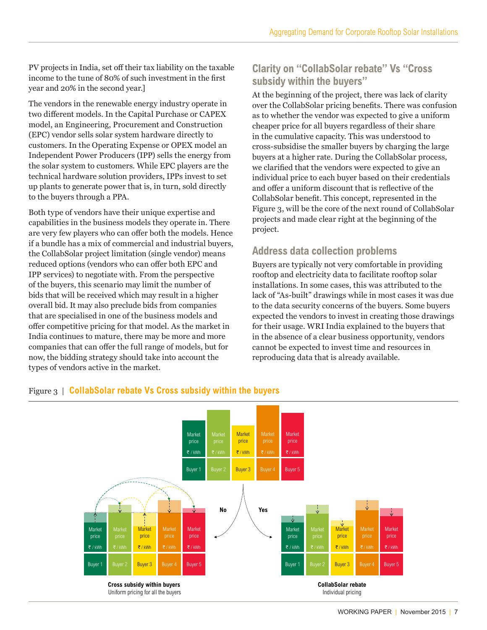PV projects in India, set off their tax liability on the taxable income to the tune of 80% of such investment in the first year and 20% in the second year.]

The vendors in the renewable energy industry operate in two different models. In the Capital Purchase or CAPEX model, an Engineering, Procurement and Construction (EPC) vendor sells solar system hardware directly to customers. In the Operating Expense or OPEX model an Independent Power Producers (IPP) sells the energy from the solar system to customers. While EPC players are the technical hardware solution providers, IPPs invest to set up plants to generate power that is, in turn, sold directly to the buyers through a PPA.

Both type of vendors have their unique expertise and capabilities in the business models they operate in. There are very few players who can offer both the models. Hence if a bundle has a mix of commercial and industrial buyers, the CollabSolar project limitation (single vendor) means reduced options (vendors who can offer both EPC and IPP services) to negotiate with. From the perspective of the buyers, this scenario may limit the number of bids that will be received which may result in a higher overall bid. It may also preclude bids from companies that are specialised in one of the business models and offer competitive pricing for that model. As the market in India continues to mature, there may be more and more companies that can offer the full range of models, but for now, the bidding strategy should take into account the types of vendors active in the market.

# **Clarity on "CollabSolar rebate" Vs "Cross subsidy within the buyers"**

At the beginning of the project, there was lack of clarity over the CollabSolar pricing benefits. There was confusion as to whether the vendor was expected to give a uniform cheaper price for all buyers regardless of their share in the cumulative capacity. This was understood to cross-subsidise the smaller buyers by charging the large buyers at a higher rate. During the CollabSolar process, we clarified that the vendors were expected to give an individual price to each buyer based on their credentials and offer a uniform discount that is reflective of the CollabSolar benefit. This concept, represented in the Figure 3, will be the core of the next round of CollabSolar projects and made clear right at the beginning of the project.

### **Address data collection problems**

Buyers are typically not very comfortable in providing rooftop and electricity data to facilitate rooftop solar installations. In some cases, this was attributed to the lack of "As-built" drawings while in most cases it was due to the data security concerns of the buyers. Some buyers expected the vendors to invest in creating those drawings for their usage. WRI India explained to the buyers that in the absence of a clear business opportunity, vendors cannot be expected to invest time and resources in reproducing data that is already available.



#### Figure 3 | **CollabSolar rebate Vs Cross subsidy within the buyers**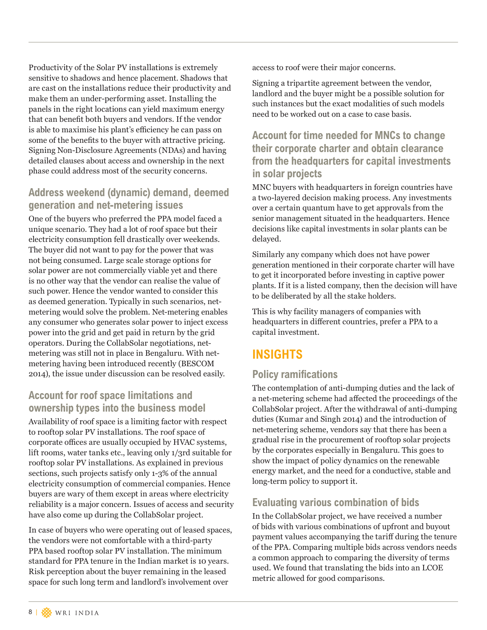Productivity of the Solar PV installations is extremely sensitive to shadows and hence placement. Shadows that are cast on the installations reduce their productivity and make them an under-performing asset. Installing the panels in the right locations can yield maximum energy that can benefit both buyers and vendors. If the vendor is able to maximise his plant's efficiency he can pass on some of the benefits to the buyer with attractive pricing. Signing Non-Disclosure Agreements (NDAs) and having detailed clauses about access and ownership in the next phase could address most of the security concerns.

## **Address weekend (dynamic) demand, deemed generation and net-metering issues**

One of the buyers who preferred the PPA model faced a unique scenario. They had a lot of roof space but their electricity consumption fell drastically over weekends. The buyer did not want to pay for the power that was not being consumed. Large scale storage options for solar power are not commercially viable yet and there is no other way that the vendor can realise the value of such power. Hence the vendor wanted to consider this as deemed generation. Typically in such scenarios, netmetering would solve the problem. Net-metering enables any consumer who generates solar power to inject excess power into the grid and get paid in return by the grid operators. During the CollabSolar negotiations, netmetering was still not in place in Bengaluru. With netmetering having been introduced recently (BESCOM 2014), the issue under discussion can be resolved easily.

## **Account for roof space limitations and ownership types into the business model**

Availability of roof space is a limiting factor with respect to rooftop solar PV installations. The roof space of corporate offices are usually occupied by HVAC systems, lift rooms, water tanks etc., leaving only 1/3rd suitable for rooftop solar PV installations. As explained in previous sections, such projects satisfy only 1-3% of the annual electricity consumption of commercial companies. Hence buyers are wary of them except in areas where electricity reliability is a major concern. Issues of access and security have also come up during the CollabSolar project.

In case of buyers who were operating out of leased spaces, the vendors were not comfortable with a third-party PPA based rooftop solar PV installation. The minimum standard for PPA tenure in the Indian market is 10 years. Risk perception about the buyer remaining in the leased space for such long term and landlord's involvement over

access to roof were their major concerns.

Signing a tripartite agreement between the vendor, landlord and the buyer might be a possible solution for such instances but the exact modalities of such models need to be worked out on a case to case basis.

## **Account for time needed for MNCs to change their corporate charter and obtain clearance from the headquarters for capital investments in solar projects**

MNC buyers with headquarters in foreign countries have a two-layered decision making process. Any investments over a certain quantum have to get approvals from the senior management situated in the headquarters. Hence decisions like capital investments in solar plants can be delayed.

Similarly any company which does not have power generation mentioned in their corporate charter will have to get it incorporated before investing in captive power plants. If it is a listed company, then the decision will have to be deliberated by all the stake holders.

This is why facility managers of companies with headquarters in different countries, prefer a PPA to a capital investment.

# **INSIGHTS**

# **Policy ramifications**

The contemplation of anti-dumping duties and the lack of a net-metering scheme had affected the proceedings of the CollabSolar project. After the withdrawal of anti-dumping duties (Kumar and Singh 2014) and the introduction of net-metering scheme, vendors say that there has been a gradual rise in the procurement of rooftop solar projects by the corporates especially in Bengaluru. This goes to show the impact of policy dynamics on the renewable energy market, and the need for a conductive, stable and long-term policy to support it.

# **Evaluating various combination of bids**

In the CollabSolar project, we have received a number of bids with various combinations of upfront and buyout payment values accompanying the tariff during the tenure of the PPA. Comparing multiple bids across vendors needs a common approach to comparing the diversity of terms used. We found that translating the bids into an LCOE metric allowed for good comparisons.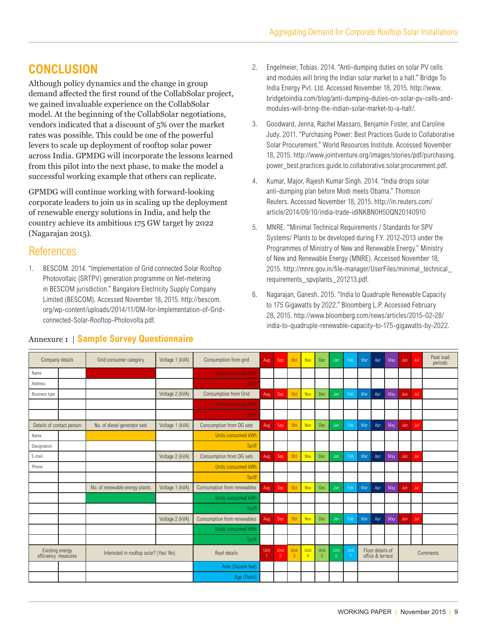# **CONCLUSION**

Although policy dynamics and the change in group demand affected the first round of the CollabSolar project, we gained invaluable experience on the CollabSolar model. At the beginning of the CollabSolar negotiations, vendors indicated that a discount of 5% over the market rates was possible. This could be one of the powerful levers to scale up deployment of rooftop solar power across India. GPMDG will incorporate the lessons learned from this pilot into the next phase, to make the model a successful working example that others can replicate.

GPMDG will continue working with forward-looking corporate leaders to join us in scaling up the deployment of renewable energy solutions in India, and help the country achieve its ambitious 175 GW target by 2022 (Nagarajan 2015).

# References

1. BESCOM. 2014. "Implementation of Grid connected Solar Rooftop Photovoltaic (SRTPV) generation programme on Net-metering in BESCOM jurisdiction." Bangalore Electricity Supply Company Limited (BESCOM). Accessed November 18, 2015. http://bescom. org/wp-content/uploads/2014/11/OM-for-Implementation-of-Gridconnected-Solar-Rooftop-Photovolta.pdf.

- 2. Engelmeier, Tobias. 2014. "Anti-dumping duties on solar PV cells and modules will bring the Indian solar market to a halt." Bridge To India Energy Pvt. Ltd. Accessed November 18, 2015. http://www. bridgetoindia.com/blog/anti-dumping-duties-on-solar-pv-cells-andmodules-will-bring-the-indian-solar-market-to-a-halt/.
- 3. Goodward, Jenna, Rachel Massaro, Benjamin Foster, and Caroline Judy. 2011. "Purchasing Power: Best Practices Guide to Collaborative Solar Procurement." World Resources Institute. Accessed November 18, 2015. http://www.jointventure.org/images/stories/pdf/purchasing. power\_best.practices.guide.to.collaborative.solar.procurement.pdf.
- 4. Kumar, Major, Rajesh Kumar Singh. 2014. "India drops solar anti-dumping plan before Modi meets Obama." Thomson Reuters. Accessed November 18, 2015. http://in.reuters.com/ article/2014/09/10/india-trade-idINKBN0H50QN20140910
- 5. MNRE. "Minimal Technical Requirements / Standards for SPV Systems/ Plants to be developed during F.Y. 2012-2013 under the Programmes of Ministry of New and Renewable Energy." Ministry of New and Renewable Energy (MNRE). Accessed November 18, 2015. http://mnre.gov.in/file-manager/UserFiles/minimal\_technical\_ requirements\_spvplants\_201213.pdf.
- 6. Nagarajan, Ganesh. 2015. "India to Quadruple Renewable Capacity to 175 Gigawatts by 2022." Bloomberg L.P. Accessed February 28, 2015. http://www.bloomberg.com/news/articles/2015-02-28/ india-to-quadruple-renewable-capacity-to-175-gigawatts-by-2022.

| Company details                        |  | Grid consumer category                | Voltage 1 (kVA)    | Consumption from grid       | Aug  | Sep                              | Oct       | <b>Nov</b>             | <b>Dec</b> | Jan       | Feb                    | Mar | Apr                                  | May | Jun      | Jul | Peak load<br>periods |
|----------------------------------------|--|---------------------------------------|--------------------|-----------------------------|------|----------------------------------|-----------|------------------------|------------|-----------|------------------------|-----|--------------------------------------|-----|----------|-----|----------------------|
| Name                                   |  |                                       |                    | <b>Units consumed kWh</b>   |      |                                  |           |                        |            |           |                        |     |                                      |     |          |     |                      |
| Address                                |  |                                       |                    | Tariff                      |      |                                  |           |                        |            |           |                        |     |                                      |     |          |     |                      |
| <b>Business type</b>                   |  |                                       | Voltage 2 (kVA)    | Consumption from Grid       | Aug  | Sep                              | Oct       | <b>Nov</b>             | <b>Dec</b> | Jan       | Feb                    | Mar | Apr                                  | May | Jun      | Jul |                      |
|                                        |  |                                       |                    | Units consumed kWh          |      |                                  |           |                        |            |           |                        |     |                                      |     |          |     |                      |
|                                        |  |                                       |                    | Tariff                      |      |                                  |           |                        |            |           |                        |     |                                      |     |          |     |                      |
| Details of contact person              |  | No. of diesel generator sets          | Voltage 1 (kVA)    | Consumption from DG sets    | Aug  | Sep                              | Oct       | <b>Nov</b>             | <b>Dec</b> | Jan       | Feb                    | Mar | Apr                                  | May | Jun      | Jul |                      |
| Name                                   |  |                                       |                    | Units consumed kWh          |      |                                  |           |                        |            |           |                        |     |                                      |     |          |     |                      |
| Designation                            |  |                                       |                    | <b>Tariff</b>               |      |                                  |           |                        |            |           |                        |     |                                      |     |          |     |                      |
| E-mail                                 |  |                                       | Voltage 2 (kVA)    | Consumption from DG sets    | Aug  | Sep                              | Oct       | Nov                    | <b>Dec</b> | Jan       | Feb                    | Mar | Apr                                  | May | Jun      | Jul |                      |
| Phone                                  |  |                                       |                    | Units consumed kWh          |      |                                  |           |                        |            |           |                        |     |                                      |     |          |     |                      |
|                                        |  |                                       |                    | <b>Tariff</b>               |      |                                  |           |                        |            |           |                        |     |                                      |     |          |     |                      |
|                                        |  | No. of renewable energy plants        | Voltage 1 (kVA)    | Consumption from renewables | Aug  | Sep                              | Oct       | <b>Nov</b>             | <b>Dec</b> | Jan       | Feb                    | Mar | Apr                                  | May | Jun      | Jul |                      |
|                                        |  |                                       |                    | Units consumed kWh          |      |                                  |           |                        |            |           |                        |     |                                      |     |          |     |                      |
|                                        |  |                                       |                    | <b>Tariff</b>               |      |                                  |           |                        |            |           |                        |     |                                      |     |          |     |                      |
|                                        |  |                                       | Voltage 2 (kVA)    | Consumption from renewables | Aug  | Sep                              | Oct       | Nov                    | <b>Dec</b> | Jan       | Feb                    | Mar | Apr                                  | May | Jun      | Jul |                      |
|                                        |  |                                       |                    | Units consumed kWh          |      |                                  |           |                        |            |           |                        |     |                                      |     |          |     |                      |
|                                        |  |                                       |                    | <b>Tariff</b>               |      |                                  |           |                        |            |           |                        |     |                                      |     |          |     |                      |
| Existing energy<br>efficiency measures |  | Interested in rooftop solar? (Yes/No) |                    | Roof details                | Unit | Unit<br>$\overline{\phantom{a}}$ | Unit<br>3 | Unit<br>$\overline{4}$ | Unit<br>5  | Unit<br>6 | Unit<br>$\overline{7}$ |     | Floor details of<br>office & terrace |     | Comments |     |                      |
|                                        |  |                                       | Area (Square feet) |                             |      |                                  |           |                        |            |           |                        |     |                                      |     |          |     |                      |
|                                        |  |                                       |                    | Age (Years)                 |      |                                  |           |                        |            |           |                        |     |                                      |     |          |     |                      |

#### Annexure 1 | **Sample Survey Questionnaire**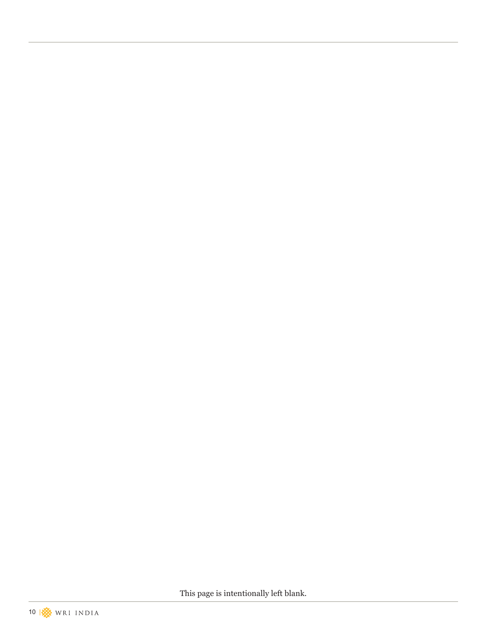This page is intentionally left blank.

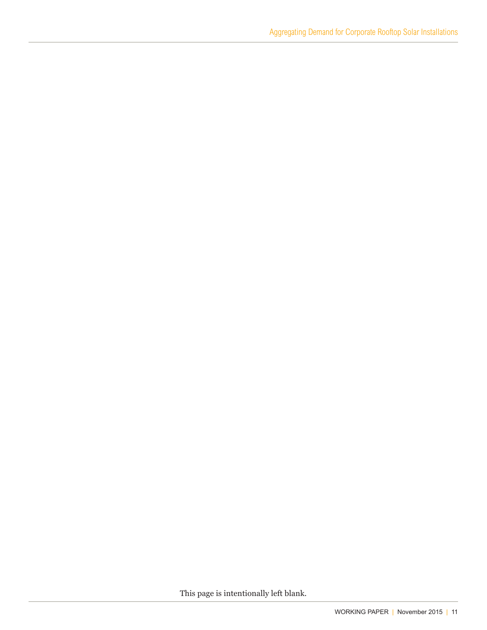This page is intentionally left blank.